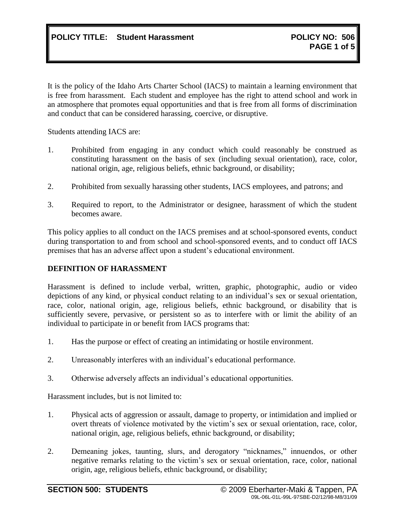It is the policy of the Idaho Arts Charter School (IACS) to maintain a learning environment that is free from harassment. Each student and employee has the right to attend school and work in an atmosphere that promotes equal opportunities and that is free from all forms of discrimination and conduct that can be considered harassing, coercive, or disruptive.

Students attending IACS are:

- 1. Prohibited from engaging in any conduct which could reasonably be construed as constituting harassment on the basis of sex (including sexual orientation), race, color, national origin, age, religious beliefs, ethnic background, or disability;
- 2. Prohibited from sexually harassing other students, IACS employees, and patrons; and
- 3. Required to report, to the Administrator or designee, harassment of which the student becomes aware.

This policy applies to all conduct on the IACS premises and at school-sponsored events, conduct during transportation to and from school and school-sponsored events, and to conduct off IACS premises that has an adverse affect upon a student's educational environment.

### **DEFINITION OF HARASSMENT**

Harassment is defined to include verbal, written, graphic, photographic, audio or video depictions of any kind, or physical conduct relating to an individual's sex or sexual orientation, race, color, national origin, age, religious beliefs, ethnic background, or disability that is sufficiently severe, pervasive, or persistent so as to interfere with or limit the ability of an individual to participate in or benefit from IACS programs that:

- 1. Has the purpose or effect of creating an intimidating or hostile environment.
- 2. Unreasonably interferes with an individual's educational performance.
- 3. Otherwise adversely affects an individual's educational opportunities.

Harassment includes, but is not limited to:

- 1. Physical acts of aggression or assault, damage to property, or intimidation and implied or overt threats of violence motivated by the victim's sex or sexual orientation, race, color, national origin, age, religious beliefs, ethnic background, or disability;
- 2. Demeaning jokes, taunting, slurs, and derogatory "nicknames," innuendos, or other negative remarks relating to the victim's sex or sexual orientation, race, color, national origin, age, religious beliefs, ethnic background, or disability;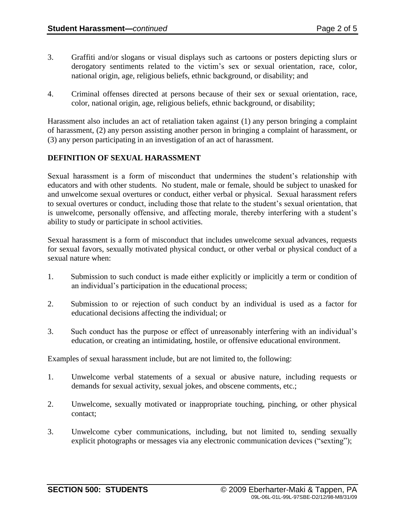- 3. Graffiti and/or slogans or visual displays such as cartoons or posters depicting slurs or derogatory sentiments related to the victim's sex or sexual orientation, race, color, national origin, age, religious beliefs, ethnic background, or disability; and
- 4. Criminal offenses directed at persons because of their sex or sexual orientation, race, color, national origin, age, religious beliefs, ethnic background, or disability;

Harassment also includes an act of retaliation taken against (1) any person bringing a complaint of harassment, (2) any person assisting another person in bringing a complaint of harassment, or (3) any person participating in an investigation of an act of harassment.

# **DEFINITION OF SEXUAL HARASSMENT**

Sexual harassment is a form of misconduct that undermines the student's relationship with educators and with other students. No student, male or female, should be subject to unasked for and unwelcome sexual overtures or conduct, either verbal or physical. Sexual harassment refers to sexual overtures or conduct, including those that relate to the student's sexual orientation, that is unwelcome, personally offensive, and affecting morale, thereby interfering with a student's ability to study or participate in school activities.

Sexual harassment is a form of misconduct that includes unwelcome sexual advances, requests for sexual favors, sexually motivated physical conduct, or other verbal or physical conduct of a sexual nature when:

- 1. Submission to such conduct is made either explicitly or implicitly a term or condition of an individual's participation in the educational process;
- 2. Submission to or rejection of such conduct by an individual is used as a factor for educational decisions affecting the individual; or
- 3. Such conduct has the purpose or effect of unreasonably interfering with an individual's education, or creating an intimidating, hostile, or offensive educational environment.

Examples of sexual harassment include, but are not limited to, the following:

- 1. Unwelcome verbal statements of a sexual or abusive nature, including requests or demands for sexual activity, sexual jokes, and obscene comments, etc.;
- 2. Unwelcome, sexually motivated or inappropriate touching, pinching, or other physical contact;
- 3. Unwelcome cyber communications, including, but not limited to, sending sexually explicit photographs or messages via any electronic communication devices ("sexting");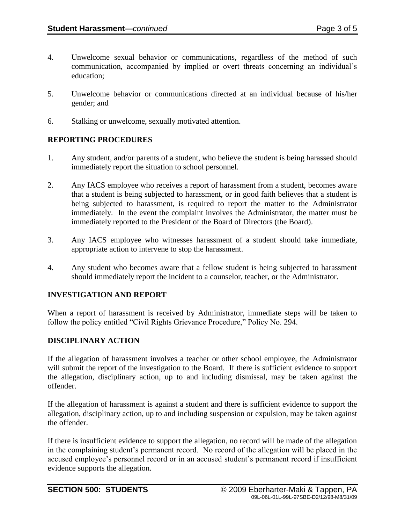- 4. Unwelcome sexual behavior or communications, regardless of the method of such communication, accompanied by implied or overt threats concerning an individual's education;
- 5. Unwelcome behavior or communications directed at an individual because of his/her gender; and
- 6. Stalking or unwelcome, sexually motivated attention.

### **REPORTING PROCEDURES**

- 1. Any student, and/or parents of a student, who believe the student is being harassed should immediately report the situation to school personnel.
- 2. Any IACS employee who receives a report of harassment from a student, becomes aware that a student is being subjected to harassment, or in good faith believes that a student is being subjected to harassment, is required to report the matter to the Administrator immediately. In the event the complaint involves the Administrator, the matter must be immediately reported to the President of the Board of Directors (the Board).
- 3. Any IACS employee who witnesses harassment of a student should take immediate, appropriate action to intervene to stop the harassment.
- 4. Any student who becomes aware that a fellow student is being subjected to harassment should immediately report the incident to a counselor, teacher, or the Administrator.

### **INVESTIGATION AND REPORT**

When a report of harassment is received by Administrator, immediate steps will be taken to follow the policy entitled "Civil Rights Grievance Procedure," Policy No. 294.

### **DISCIPLINARY ACTION**

If the allegation of harassment involves a teacher or other school employee, the Administrator will submit the report of the investigation to the Board. If there is sufficient evidence to support the allegation, disciplinary action, up to and including dismissal, may be taken against the offender.

If the allegation of harassment is against a student and there is sufficient evidence to support the allegation, disciplinary action, up to and including suspension or expulsion, may be taken against the offender.

If there is insufficient evidence to support the allegation, no record will be made of the allegation in the complaining student's permanent record. No record of the allegation will be placed in the accused employee's personnel record or in an accused student's permanent record if insufficient evidence supports the allegation.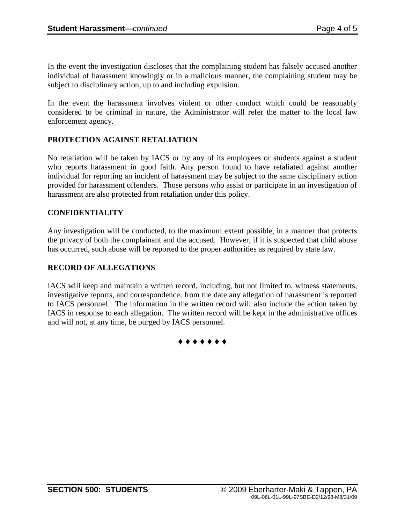In the event the investigation discloses that the complaining student has falsely accused another individual of harassment knowingly or in a malicious manner, the complaining student may be subject to disciplinary action, up to and including expulsion.

In the event the harassment involves violent or other conduct which could be reasonably considered to be criminal in nature, the Administrator will refer the matter to the local law enforcement agency.

# **PROTECTION AGAINST RETALIATION**

No retaliation will be taken by IACS or by any of its employees or students against a student who reports harassment in good faith. Any person found to have retaliated against another individual for reporting an incident of harassment may be subject to the same disciplinary action provided for harassment offenders. Those persons who assist or participate in an investigation of harassment are also protected from retaliation under this policy.

# **CONFIDENTIALITY**

Any investigation will be conducted, to the maximum extent possible, in a manner that protects the privacy of both the complainant and the accused. However, if it is suspected that child abuse has occurred, such abuse will be reported to the proper authorities as required by state law.

### **RECORD OF ALLEGATIONS**

IACS will keep and maintain a written record, including, but not limited to, witness statements, investigative reports, and correspondence, from the date any allegation of harassment is reported to IACS personnel. The information in the written record will also include the action taken by IACS in response to each allegation. The written record will be kept in the administrative offices and will not, at any time, be purged by IACS personnel.

**♦ ♦ ♦ ♦ ♦ ♦ ♦**